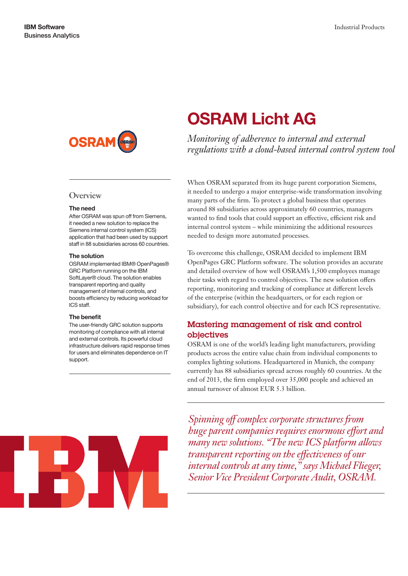

## **Overview**

#### The need

After OSRAM was spun off from Siemens, it needed a new solution to replace the Siemens internal control system (ICS) application that had been used by support staff in 88 subsidiaries across 60 countries.

#### The solution

OSRAM implemented IBM® OpenPages® GRC Platform running on the IBM SoftLayer® cloud. The solution enables transparent reporting and quality management of internal controls, and boosts efficiency by reducing workload for ICS staff.

#### The benefit

The user-friendly GRC solution supports monitoring of compliance with all internal and external controls. Its powerful cloud infrastructure delivers rapid response times for users and eliminates dependence on IT support.

# OSRAM Licht AG

*Monitoring of adherence to internal and external regulations with a cloud-based internal control system tool*

When OSRAM separated from its huge parent corporation Siemens, it needed to undergo a major enterprise-wide transformation involving many parts of the firm. To protect a global business that operates around 88 subsidiaries across approximately 60 countries, managers wanted to find tools that could support an effective, efficient risk and internal control system – while minimizing the additional resources needed to design more automated processes.

To overcome this challenge, OSRAM decided to implement IBM OpenPages GRC Platform software. The solution provides an accurate and detailed overview of how well OSRAM's 1,500 employees manage their tasks with regard to control objectives. The new solution offers reporting, monitoring and tracking of compliance at different levels of the enterprise (within the headquarters, or for each region or subsidiary), for each control objective and for each ICS representative.

# Mastering management of risk and control objectives

OSRAM is one of the world's leading light manufacturers, providing products across the entire value chain from individual components to complex lighting solutions. Headquartered in Munich, the company currently has 88 subsidiaries spread across roughly 60 countries. At the end of 2013, the firm employed over 35,000 people and achieved an annual turnover of almost EUR 5.3 billion.

*Spinning off complex corporate structures from huge parent companies requires enormous effort and many new solutions. "The new ICS platform allows transparent reporting on the effectiveness of our internal controls at any time," says Michael Flieger, Senior Vice President Corporate Audit, OSRAM.*

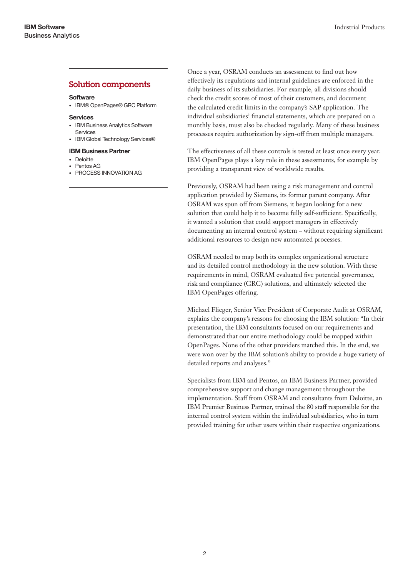## Solution components

## **Software**

• IBM® OpenPages® GRC Platform

## Services

- IBM Business Analytics Software Services
- IBM Global Technology Services®

## IBM Business Partner

- Deloitte
- Pentos AG
- PROCESS INNOVATION AG

Once a year, OSRAM conducts an assessment to find out how effectively its regulations and internal guidelines are enforced in the daily business of its subsidiaries. For example, all divisions should check the credit scores of most of their customers, and document the calculated credit limits in the company's SAP application. The individual subsidiaries' financial statements, which are prepared on a monthly basis, must also be checked regularly. Many of these business processes require authorization by sign-off from multiple managers.

The effectiveness of all these controls is tested at least once every year. IBM OpenPages plays a key role in these assessments, for example by providing a transparent view of worldwide results.

Previously, OSRAM had been using a risk management and control application provided by Siemens, its former parent company. After OSRAM was spun off from Siemens, it began looking for a new solution that could help it to become fully self-sufficient. Specifically, it wanted a solution that could support managers in effectively documenting an internal control system – without requiring significant additional resources to design new automated processes.

OSRAM needed to map both its complex organizational structure and its detailed control methodology in the new solution. With these requirements in mind, OSRAM evaluated five potential governance, risk and compliance (GRC) solutions, and ultimately selected the IBM OpenPages offering.

Michael Flieger, Senior Vice President of Corporate Audit at OSRAM, explains the company's reasons for choosing the IBM solution: "In their presentation, the IBM consultants focused on our requirements and demonstrated that our entire methodology could be mapped within OpenPages. None of the other providers matched this. In the end, we were won over by the IBM solution's ability to provide a huge variety of detailed reports and analyses."

Specialists from IBM and Pentos, an IBM Business Partner, provided comprehensive support and change management throughout the implementation. Staff from OSRAM and consultants from Deloitte, an IBM Premier Business Partner, trained the 80 staff responsible for the internal control system within the individual subsidiaries, who in turn provided training for other users within their respective organizations.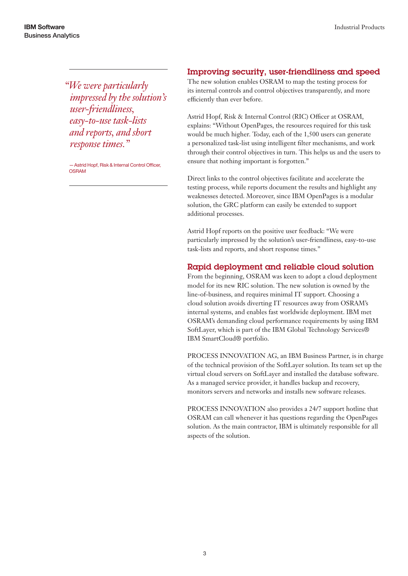*"We were particularly impressed by the solution's user-friendliness, easy-to-use task-lists and reports, and short response times."*

—Astrid Hopf, Risk & Internal Control Officer, **OSRAM** 

## Improving security, user-friendliness and speed

The new solution enables OSRAM to map the testing process for its internal controls and control objectives transparently, and more efficiently than ever before.

Astrid Hopf, Risk & Internal Control (RIC) Officer at OSRAM, explains: "Without OpenPages, the resources required for this task would be much higher. Today, each of the 1,500 users can generate a personalized task-list using intelligent filter mechanisms, and work through their control objectives in turn. This helps us and the users to ensure that nothing important is forgotten."

Direct links to the control objectives facilitate and accelerate the testing process, while reports document the results and highlight any weaknesses detected. Moreover, since IBM OpenPages is a modular solution, the GRC platform can easily be extended to support additional processes.

Astrid Hopf reports on the positive user feedback: "We were particularly impressed by the solution's user-friendliness, easy-to-use task-lists and reports, and short response times."

# Rapid deployment and reliable cloud solution

From the beginning, OSRAM was keen to adopt a cloud deployment model for its new RIC solution. The new solution is owned by the line-of-business, and requires minimal IT support. Choosing a cloud solution avoids diverting IT resources away from OSRAM's internal systems, and enables fast worldwide deployment. IBM met OSRAM's demanding cloud performance requirements by using IBM SoftLayer, which is part of the IBM Global Technology Services® IBM SmartCloud® portfolio.

PROCESS INNOVATION AG, an IBM Business Partner, is in charge of the technical provision of the SoftLayer solution. Its team set up the virtual cloud servers on SoftLayer and installed the database software. As a managed service provider, it handles backup and recovery, monitors servers and networks and installs new software releases.

PROCESS INNOVATION also provides a 24/7 support hotline that OSRAM can call whenever it has questions regarding the OpenPages solution. As the main contractor, IBM is ultimately responsible for all aspects of the solution.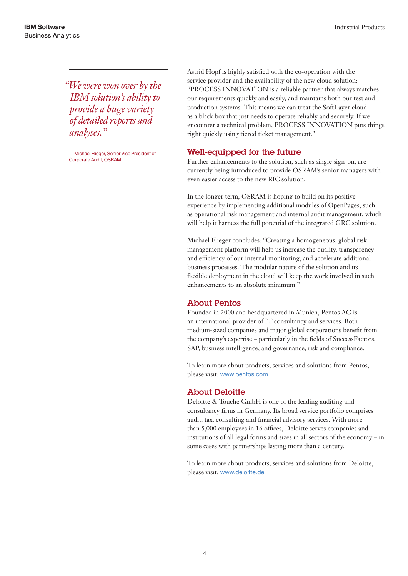*"We were won over by the IBM solution's ability to provide a huge variety of detailed reports and analyses."*

—Michael Flieger, Senior Vice President of Corporate Audit, OSRAM

Astrid Hopf is highly satisfied with the co-operation with the service provider and the availability of the new cloud solution: "PROCESS INNOVATION is a reliable partner that always matches our requirements quickly and easily, and maintains both our test and production systems. This means we can treat the SoftLayer cloud as a black box that just needs to operate reliably and securely. If we encounter a technical problem, PROCESS INNOVATION puts things right quickly using tiered ticket management."

# Well-equipped for the future

Further enhancements to the solution, such as single sign-on, are currently being introduced to provide OSRAM's senior managers with even easier access to the new RIC solution.

In the longer term, OSRAM is hoping to build on its positive experience by implementing additional modules of OpenPages, such as operational risk management and internal audit management, which will help it harness the full potential of the integrated GRC solution.

Michael Flieger concludes: "Creating a homogeneous, global risk management platform will help us increase the quality, transparency and efficiency of our internal monitoring, and accelerate additional business processes. The modular nature of the solution and its flexible deployment in the cloud will keep the work involved in such enhancements to an absolute minimum."

# About Pentos

Founded in 2000 and headquartered in Munich, Pentos AG is an international provider of IT consultancy and services. Both medium-sized companies and major global corporations benefit from the company's expertise – particularly in the fields of SuccessFactors, SAP, business intelligence, and governance, risk and compliance.

To learn more about products, services and solutions from Pentos, please visit: [www.pentos.com](http://www.pentos.com)

# About Deloitte

Deloitte & Touche GmbH is one of the leading auditing and consultancy firms in Germany. Its broad service portfolio comprises audit, tax, consulting and financial advisory services. With more than 5,000 employees in 16 offices, Deloitte serves companies and institutions of all legal forms and sizes in all sectors of the economy – in some cases with partnerships lasting more than a century.

To learn more about products, services and solutions from Deloitte, please visit: [www.deloitte.de](http://www.deloitte.de)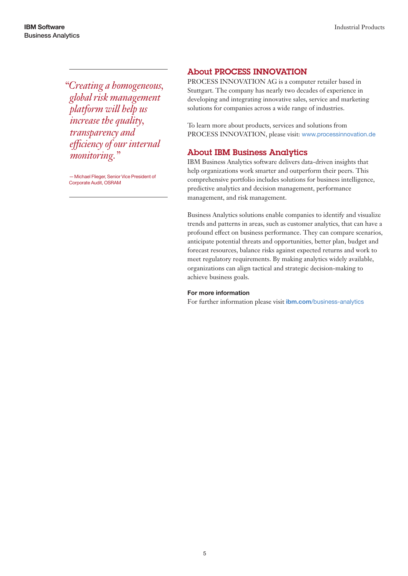*"Creating a homogeneous, global risk management platform will help us increase the quality, transparency and efficiency of our internal monitoring."*

—Michael Flieger, Senior Vice President of Corporate Audit, OSRAM

# About PROCESS INNOVATION

PROCESS INNOVATION AG is a computer retailer based in Stuttgart. The company has nearly two decades of experience in developing and integrating innovative sales, service and marketing solutions for companies across a wide range of industries.

To learn more about products, services and solutions from PROCESS INNOVATION, please visit: [www.processinnovation.de](http://www.processinnovation.de) 

# About IBM Business Analytics

IBM Business Analytics software delivers data-driven insights that help organizations work smarter and outperform their peers. This comprehensive portfolio includes solutions for business intelligence, predictive analytics and decision management, performance management, and risk management.

Business Analytics solutions enable companies to identify and visualize trends and patterns in areas, such as customer analytics, that can have a profound effect on business performance. They can compare scenarios, anticipate potential threats and opportunities, better plan, budget and forecast resources, balance risks against expected returns and work to meet regulatory requirements. By making analytics widely available, organizations can align tactical and strategic decision-making to achieve business goals.

## For more information

For further information please visit *ibm.com*[/business-analytics](http://www.ibm.com/business-analytics)